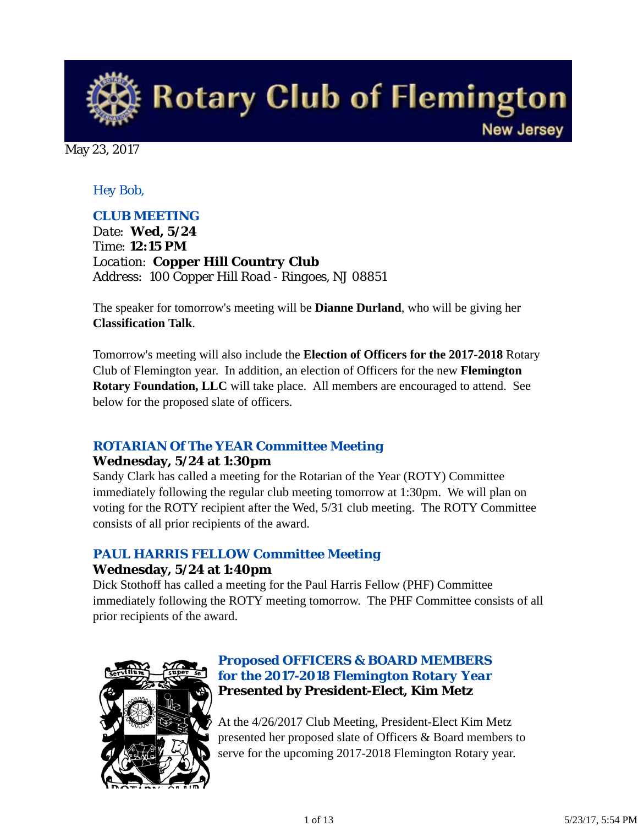**Rotary Club of Flemington New Jersey** 

May 23, 2017

## *Hey Bob,*

## *CLUB MEETING*

*Date: Wed, 5/24 Time: 12:15 PM Location: Copper Hill Country Club Address: 100 Copper Hill Road - Ringoes, NJ 08851*

The speaker for tomorrow's meeting will be **Dianne Durland**, who will be giving her **Classification Talk**.

Tomorrow's meeting will also include the **Election of Officers for the 2017-2018** Rotary Club of Flemington year. In addition, an election of Officers for the new **Flemington Rotary Foundation, LLC** will take place. All members are encouraged to attend. See below for the proposed slate of officers.

## *ROTARIAN Of The YEAR Committee Meeting*

#### **Wednesday, 5/24 at 1:30pm**

Sandy Clark has called a meeting for the Rotarian of the Year (ROTY) Committee immediately following the regular club meeting tomorrow at 1:30pm. We will plan on voting for the ROTY recipient after the Wed, 5/31 club meeting. The ROTY Committee consists of all prior recipients of the award.

# *PAUL HARRIS FELLOW Committee Meeting*

#### **Wednesday, 5/24 at 1:40pm**

Dick Stothoff has called a meeting for the Paul Harris Fellow (PHF) Committee immediately following the ROTY meeting tomorrow. The PHF Committee consists of all prior recipients of the award.



## *Proposed OFFICERS & BOARD MEMBERS for the 2017-2018 Flemington Rotary Year* **Presented by President-Elect, Kim Metz**

At the 4/26/2017 Club Meeting, President-Elect Kim Metz presented her proposed slate of Officers & Board members to serve for the upcoming 2017-2018 Flemington Rotary year.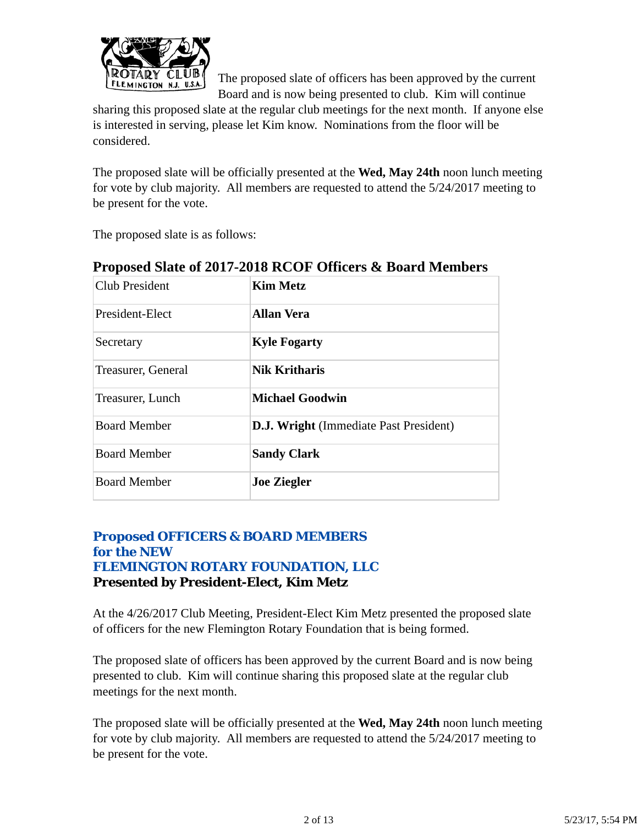

The proposed slate of officers has been approved by the current Board and is now being presented to club. Kim will continue

sharing this proposed slate at the regular club meetings for the next month. If anyone else is interested in serving, please let Kim know. Nominations from the floor will be considered.

The proposed slate will be officially presented at the **Wed, May 24th** noon lunch meeting for vote by club majority. All members are requested to attend the 5/24/2017 meeting to be present for the vote.

The proposed slate is as follows:

| <b>Club President</b> | <b>Kim Metz</b>                               |
|-----------------------|-----------------------------------------------|
| President-Elect       | <b>Allan Vera</b>                             |
| Secretary             | <b>Kyle Fogarty</b>                           |
| Treasurer, General    | <b>Nik Kritharis</b>                          |
| Treasurer, Lunch      | <b>Michael Goodwin</b>                        |
| <b>Board Member</b>   | <b>D.J. Wright</b> (Immediate Past President) |
| <b>Board Member</b>   | <b>Sandy Clark</b>                            |
| <b>Board Member</b>   | <b>Joe Ziegler</b>                            |

## **Proposed Slate of 2017-2018 RCOF Officers & Board Members**

## *Proposed OFFICERS & BOARD MEMBERS for the NEW FLEMINGTON ROTARY FOUNDATION, LLC* **Presented by President-Elect, Kim Metz**

At the 4/26/2017 Club Meeting, President-Elect Kim Metz presented the proposed slate of officers for the new Flemington Rotary Foundation that is being formed.

The proposed slate of officers has been approved by the current Board and is now being presented to club. Kim will continue sharing this proposed slate at the regular club meetings for the next month.

The proposed slate will be officially presented at the **Wed, May 24th** noon lunch meeting for vote by club majority. All members are requested to attend the 5/24/2017 meeting to be present for the vote.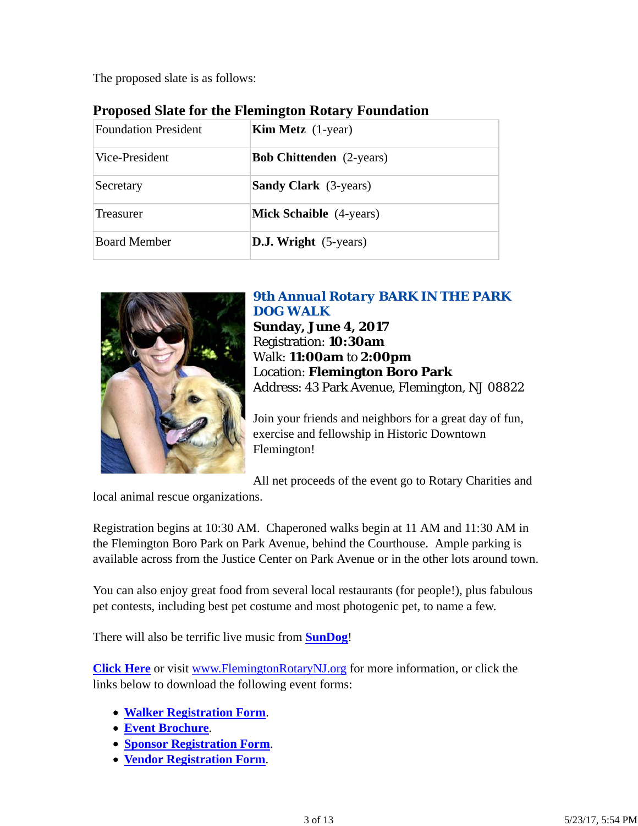The proposed slate is as follows:

| <b>Foundation President</b> | <b>Kim Metz</b> (1-year)        |  |
|-----------------------------|---------------------------------|--|
| Vice-President              | <b>Bob Chittenden</b> (2-years) |  |
| Secretary                   | <b>Sandy Clark</b> (3-years)    |  |
| Treasurer                   | <b>Mick Schaible</b> (4-years)  |  |
| <b>Board Member</b>         | <b>D.J.</b> Wright $(5$ -years) |  |

## **Proposed Slate for the Flemington Rotary Foundation**



# *9th Annual Rotary BARK IN THE PARK DOG WALK*

**Sunday, June 4, 2017** Registration: **10:30am** Walk: **11:00am** to **2:00pm** Location: **Flemington Boro Park** Address: 43 Park Avenue, Flemington, NJ 08822

Join your friends and neighbors for a great day of fun, exercise and fellowship in Historic Downtown Flemington!

All net proceeds of the event go to Rotary Charities and

local animal rescue organizations.

Registration begins at 10:30 AM. Chaperoned walks begin at 11 AM and 11:30 AM in the Flemington Boro Park on Park Avenue, behind the Courthouse. Ample parking is available across from the Justice Center on Park Avenue or in the other lots around town.

You can also enjoy great food from several local restaurants (for people!), plus fabulous pet contests, including best pet costume and most photogenic pet, to name a few.

There will also be terrific live music from **SunDog**!

**Click Here** or visit www.FlemingtonRotaryNJ.org for more information, or click the links below to download the following event forms:

- **Walker Registration Form**.
- **Event Brochure**.
- **Sponsor Registration Form**.
- **Vendor Registration Form**.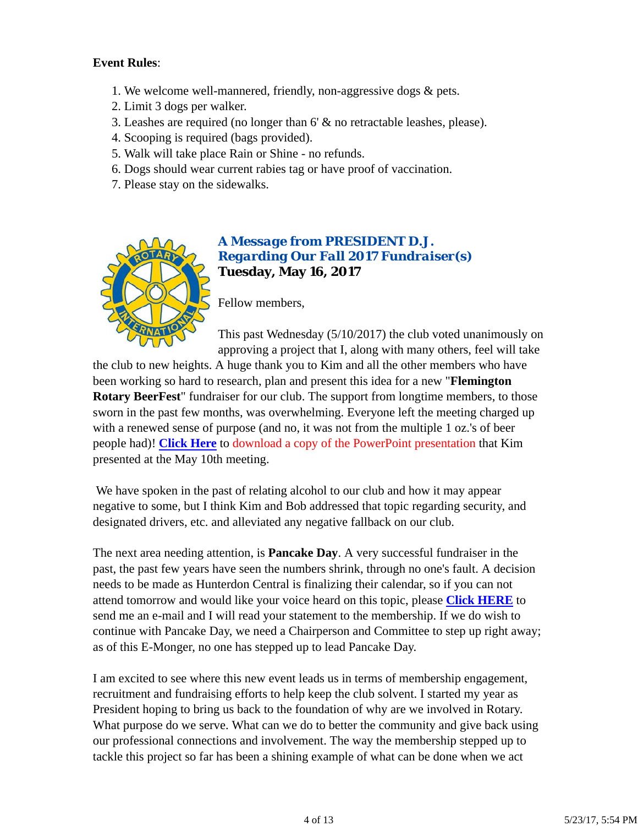#### **Event Rules**:

- 1. We welcome well-mannered, friendly, non-aggressive dogs & pets.
- 2. Limit 3 dogs per walker.
- 3. Leashes are required (no longer than 6' & no retractable leashes, please).
- 4. Scooping is required (bags provided).
- 5. Walk will take place Rain or Shine no refunds.
- 6. Dogs should wear current rabies tag or have proof of vaccination.
- 7. Please stay on the sidewalks.



#### *A Message from PRESIDENT D.J. Regarding Our Fall 2017 Fundraiser(s)* **Tuesday, May 16, 2017**

Fellow members,

This past Wednesday (5/10/2017) the club voted unanimously on approving a project that I, along with many others, feel will take

the club to new heights. A huge thank you to Kim and all the other members who have been working so hard to research, plan and present this idea for a new "**Flemington Rotary BeerFest**" fundraiser for our club. The support from longtime members, to those sworn in the past few months, was overwhelming. Everyone left the meeting charged up with a renewed sense of purpose (and no, it was not from the multiple 1 oz.'s of beer people had)! **Click Here** to download a copy of the PowerPoint presentation that Kim presented at the May 10th meeting.

 We have spoken in the past of relating alcohol to our club and how it may appear negative to some, but I think Kim and Bob addressed that topic regarding security, and designated drivers, etc. and alleviated any negative fallback on our club.

The next area needing attention, is **Pancake Day**. A very successful fundraiser in the past, the past few years have seen the numbers shrink, through no one's fault. A decision needs to be made as Hunterdon Central is finalizing their calendar, so if you can not attend tomorrow and would like your voice heard on this topic, please **Click HERE** to send me an e-mail and I will read your statement to the membership. If we do wish to continue with Pancake Day, we need a Chairperson and Committee to step up right away; as of this E-Monger, no one has stepped up to lead Pancake Day.

I am excited to see where this new event leads us in terms of membership engagement, recruitment and fundraising efforts to help keep the club solvent. I started my year as President hoping to bring us back to the foundation of why are we involved in Rotary. What purpose do we serve. What can we do to better the community and give back using our professional connections and involvement. The way the membership stepped up to tackle this project so far has been a shining example of what can be done when we act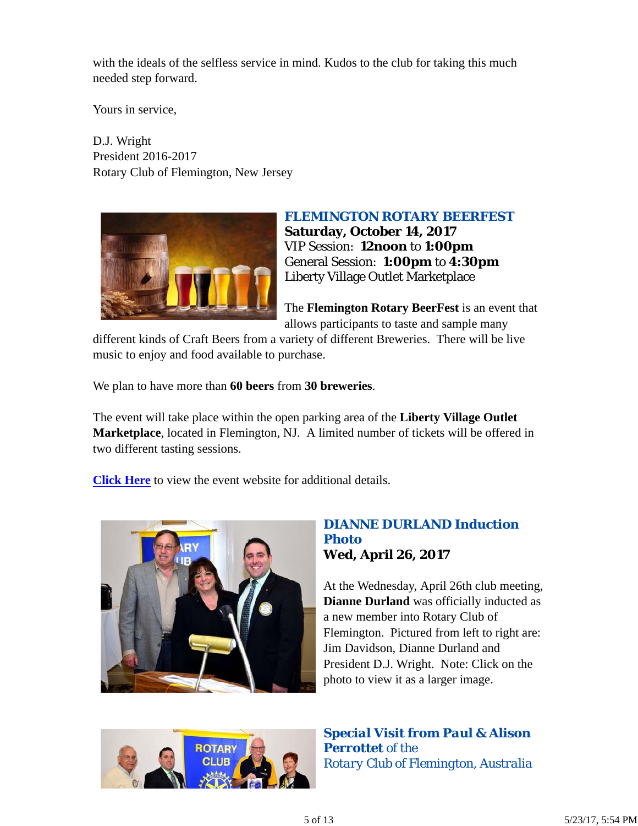with the ideals of the selfless service in mind. Kudos to the club for taking this much needed step forward.

Yours in service,

D.J. Wright President 2016-2017 Rotary Club of Flemington, New Jersey



#### *FLEMINGTON ROTARY BEERFEST*

**Saturday, October 14, 2017** VIP Session: **12noon** to **1:00pm** General Session: **1:00pm** to **4:30pm** Liberty Village Outlet Marketplace

The **Flemington Rotary BeerFest** is an event that allows participants to taste and sample many

different kinds of Craft Beers from a variety of different Breweries. There will be live music to enjoy and food available to purchase.

We plan to have more than **60 beers** from **30 breweries**.

The event will take place within the open parking area of the **Liberty Village Outlet Marketplace**, located in Flemington, NJ. A limited number of tickets will be offered in two different tasting sessions.

**Click Here** to view the event website for additional details.



#### *DIANNE DURLAND Induction Photo* **Wed, April 26, 2017**

At the Wednesday, April 26th club meeting, **Dianne Durland** was officially inducted as a new member into Rotary Club of Flemington. Pictured from left to right are: Jim Davidson, Dianne Durland and President D.J. Wright. Note: Click on the photo to view it as a larger image.



*Special Visit from Paul & Alison Perrottet of the Rotary Club of Flemington, Australia*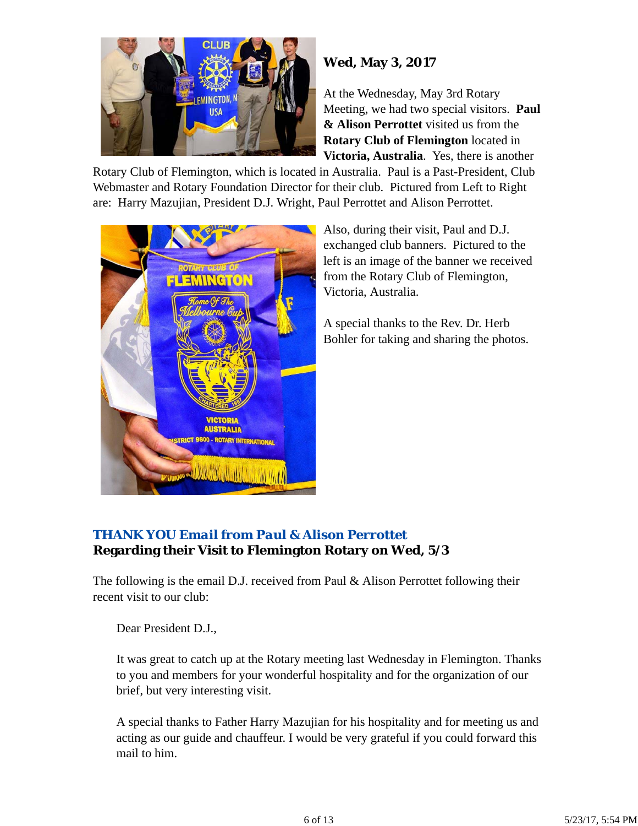

# **Wed, May 3, 2017**

At the Wednesday, May 3rd Rotary Meeting, we had two special visitors. **Paul & Alison Perrottet** visited us from the **Rotary Club of Flemington** located in **Victoria, Australia**. Yes, there is another

Rotary Club of Flemington, which is located in Australia. Paul is a Past-President, Club Webmaster and Rotary Foundation Director for their club. Pictured from Left to Right are: Harry Mazujian, President D.J. Wright, Paul Perrottet and Alison Perrottet.



Also, during their visit, Paul and D.J. exchanged club banners. Pictured to the left is an image of the banner we received from the Rotary Club of Flemington, Victoria, Australia.

A special thanks to the Rev. Dr. Herb Bohler for taking and sharing the photos.

## *THANK YOU Email from Paul & Alison Perrottet* **Regarding their Visit to Flemington Rotary on Wed, 5/3**

The following is the email D.J. received from Paul & Alison Perrottet following their recent visit to our club:

Dear President D.J.,

It was great to catch up at the Rotary meeting last Wednesday in Flemington. Thanks to you and members for your wonderful hospitality and for the organization of our brief, but very interesting visit.

A special thanks to Father Harry Mazujian for his hospitality and for meeting us and acting as our guide and chauffeur. I would be very grateful if you could forward this mail to him.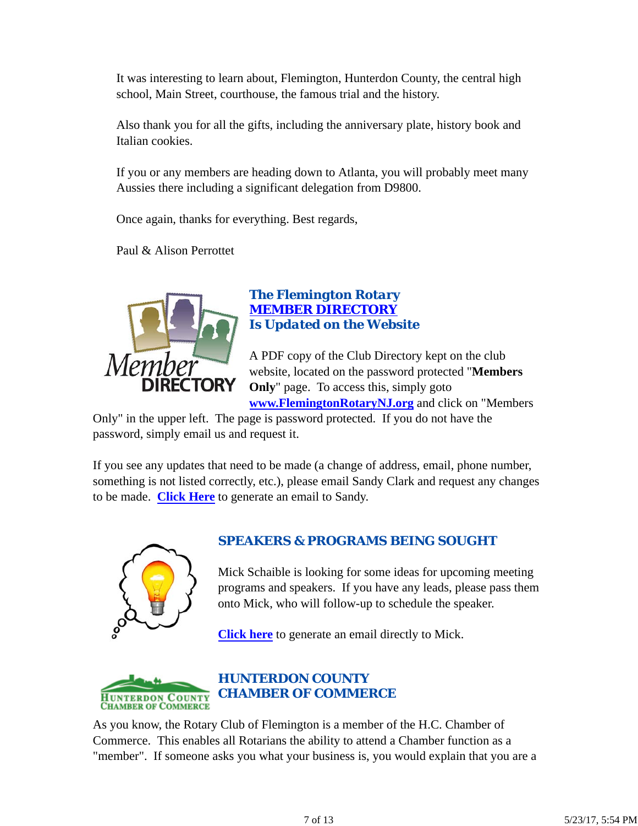It was interesting to learn about, Flemington, Hunterdon County, the central high school, Main Street, courthouse, the famous trial and the history.

Also thank you for all the gifts, including the anniversary plate, history book and Italian cookies.

If you or any members are heading down to Atlanta, you will probably meet many Aussies there including a significant delegation from D9800.

Once again, thanks for everything. Best regards,

Paul & Alison Perrottet



## *The Flemington Rotary MEMBER DIRECTORY Is Updated on the Website*

A PDF copy of the Club Directory kept on the club website, located on the password protected "**Members Only**" page. To access this, simply goto **www.FlemingtonRotaryNJ.org** and click on "Members

Only" in the upper left. The page is password protected. If you do not have the password, simply email us and request it.

If you see any updates that need to be made (a change of address, email, phone number, something is not listed correctly, etc.), please email Sandy Clark and request any changes to be made. **Click Here** to generate an email to Sandy.



## *SPEAKERS & PROGRAMS BEING SOUGHT*

Mick Schaible is looking for some ideas for upcoming meeting programs and speakers. If you have any leads, please pass them onto Mick, who will follow-up to schedule the speaker.

**Click here** to generate an email directly to Mick.



As you know, the Rotary Club of Flemington is a member of the H.C. Chamber of Commerce. This enables all Rotarians the ability to attend a Chamber function as a "member". If someone asks you what your business is, you would explain that you are a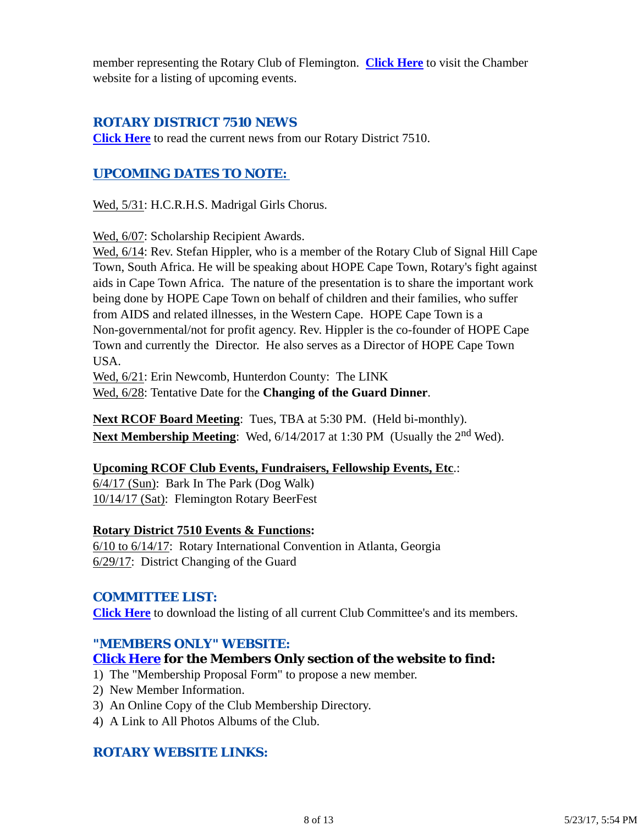member representing the Rotary Club of Flemington. **Click Here** to visit the Chamber website for a listing of upcoming events.

## *ROTARY DISTRICT 7510 NEWS*

**Click Here** to read the current news from our Rotary District 7510.

## *UPCOMING DATES TO NOTE:*

Wed, 5/31: H.C.R.H.S. Madrigal Girls Chorus.

Wed, 6/07: Scholarship Recipient Awards.

Wed, 6/14: Rev. Stefan Hippler, who is a member of the Rotary Club of Signal Hill Cape Town, South Africa. He will be speaking about HOPE Cape Town, Rotary's fight against aids in Cape Town Africa. The nature of the presentation is to share the important work being done by HOPE Cape Town on behalf of children and their families, who suffer from AIDS and related illnesses, in the Western Cape. HOPE Cape Town is a Non-governmental/not for profit agency. Rev. Hippler is the co-founder of HOPE Cape Town and currently the Director. He also serves as a Director of HOPE Cape Town USA.

Wed, 6/21: Erin Newcomb, Hunterdon County: The LINK

Wed, 6/28: Tentative Date for the **Changing of the Guard Dinner**.

**Next RCOF Board Meeting**: Tues, TBA at 5:30 PM. (Held bi-monthly). **Next Membership Meeting**: Wed,  $6/14/2017$  at 1:30 PM (Usually the 2<sup>nd</sup> Wed).

#### **Upcoming RCOF Club Events, Fundraisers, Fellowship Events, Etc**.:

6/4/17 (Sun): Bark In The Park (Dog Walk) 10/14/17 (Sat): Flemington Rotary BeerFest

#### **Rotary District 7510 Events & Functions:**

6/10 to 6/14/17: Rotary International Convention in Atlanta, Georgia 6/29/17: District Changing of the Guard

#### *COMMITTEE LIST:*

**Click Here** to download the listing of all current Club Committee's and its members.

#### *"MEMBERS ONLY" WEBSITE:*

## **Click Here for the Members Only section of the website to find:**

- 1) The "Membership Proposal Form" to propose a new member.
- 2) New Member Information.
- 3) An Online Copy of the Club Membership Directory.
- 4) A Link to All Photos Albums of the Club.

## *ROTARY WEBSITE LINKS:*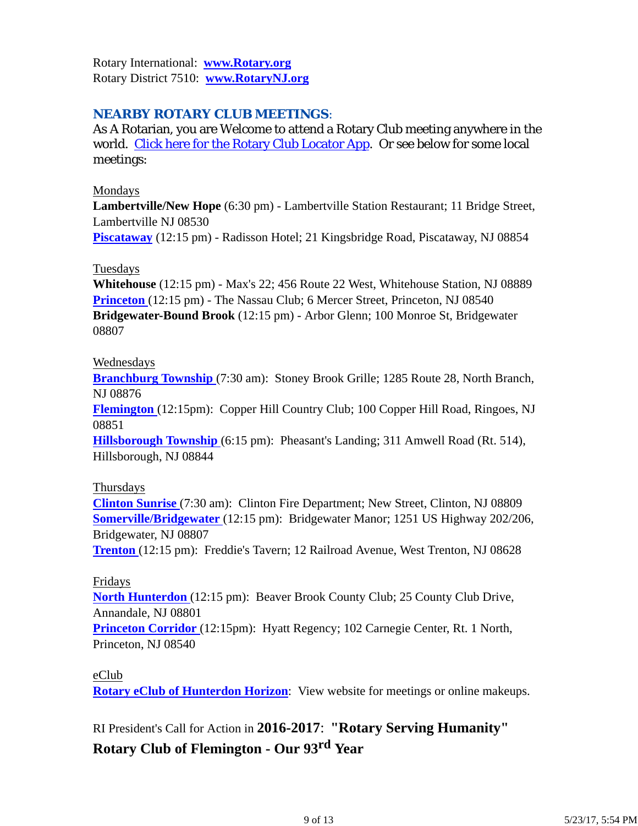Rotary International: **www.Rotary.org** Rotary District 7510: **www.RotaryNJ.org**

## *NEARBY ROTARY CLUB MEETINGS:*

As A Rotarian, you are Welcome to attend a Rotary Club meeting anywhere in the world. Click here for the Rotary Club Locator App. Or see below for some local meetings:

#### Mondays

**Lambertville/New Hope** (6:30 pm) - Lambertville Station Restaurant; 11 Bridge Street, Lambertville NJ 08530

**Piscataway** (12:15 pm) - Radisson Hotel; 21 Kingsbridge Road, Piscataway, NJ 08854

#### **Tuesdays**

**Whitehouse** (12:15 pm) - Max's 22; 456 Route 22 West, Whitehouse Station, NJ 08889 **Princeton** (12:15 pm) - The Nassau Club; 6 Mercer Street, Princeton, NJ 08540 **Bridgewater-Bound Brook** (12:15 pm) - Arbor Glenn; 100 Monroe St, Bridgewater 08807

#### Wednesdays

**Branchburg Township** (7:30 am): Stoney Brook Grille; 1285 Route 28, North Branch, NJ 08876

**Flemington** (12:15pm): Copper Hill Country Club; 100 Copper Hill Road, Ringoes, NJ 08851

**Hillsborough Township** (6:15 pm): Pheasant's Landing; 311 Amwell Road (Rt. 514), Hillsborough, NJ 08844

#### Thursdays

**Clinton Sunrise** (7:30 am): Clinton Fire Department; New Street, Clinton, NJ 08809 **Somerville/Bridgewater** (12:15 pm): Bridgewater Manor; 1251 US Highway 202/206, Bridgewater, NJ 08807

**Trenton** (12:15 pm): Freddie's Tavern; 12 Railroad Avenue, West Trenton, NJ 08628

#### Fridays

**North Hunterdon** (12:15 pm): Beaver Brook County Club; 25 County Club Drive, Annandale, NJ 08801

**Princeton Corridor** (12:15pm): Hyatt Regency; 102 Carnegie Center, Rt. 1 North, Princeton, NJ 08540

#### eClub

**Rotary eClub of Hunterdon Horizon**: View website for meetings or online makeups.

RI President's Call for Action in **2016-2017**: **"Rotary Serving Humanity"**

# **Rotary Club of Flemington - Our 93rd Year**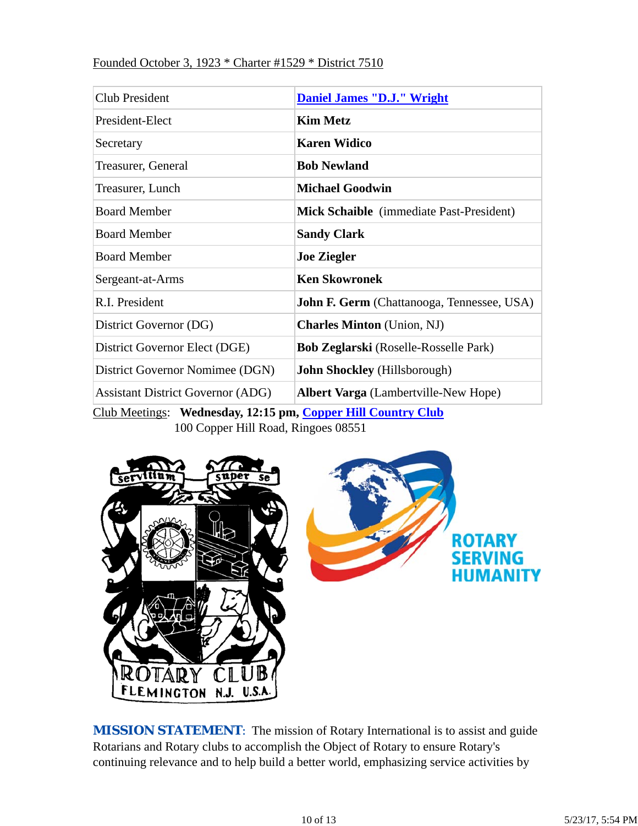#### Founded October 3, 1923 \* Charter #1529 \* District 7510

| Club President                           | <b>Daniel James "D.J." Wright</b>                 |  |  |
|------------------------------------------|---------------------------------------------------|--|--|
| President-Elect                          | <b>Kim Metz</b>                                   |  |  |
| Secretary                                | <b>Karen Widico</b>                               |  |  |
| Treasurer, General                       | <b>Bob Newland</b>                                |  |  |
| Treasurer, Lunch                         | <b>Michael Goodwin</b>                            |  |  |
| <b>Board Member</b>                      | <b>Mick Schaible</b> (immediate Past-President)   |  |  |
| <b>Board Member</b>                      | <b>Sandy Clark</b>                                |  |  |
| <b>Board Member</b>                      | <b>Joe Ziegler</b>                                |  |  |
| Sergeant-at-Arms                         | <b>Ken Skowronek</b>                              |  |  |
| R.I. President                           | <b>John F. Germ</b> (Chattanooga, Tennessee, USA) |  |  |
| District Governor (DG)                   | <b>Charles Minton</b> (Union, NJ)                 |  |  |
| District Governor Elect (DGE)            | <b>Bob Zeglarski</b> (Roselle-Rosselle Park)      |  |  |
| District Governor Nomimee (DGN)          | <b>John Shockley</b> (Hillsborough)               |  |  |
| <b>Assistant District Governor (ADG)</b> | <b>Albert Varga</b> (Lambertville-New Hope)       |  |  |

Club Meetings: **Wednesday, 12:15 pm, Copper Hill Country Club** 100 Copper Hill Road, Ringoes 08551



**MISSION STATEMENT:** The mission of Rotary International is to assist and guide Rotarians and Rotary clubs to accomplish the Object of Rotary to ensure Rotary's continuing relevance and to help build a better world, emphasizing service activities by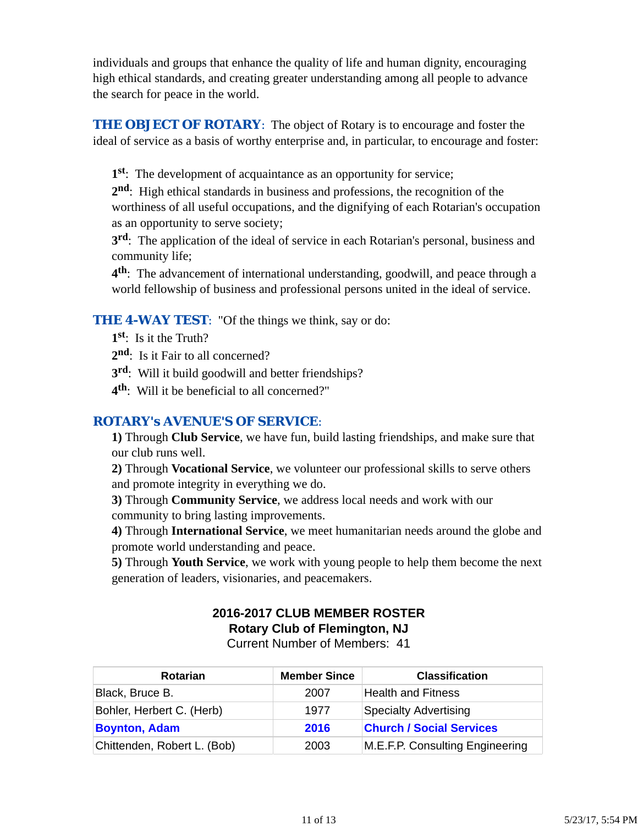individuals and groups that enhance the quality of life and human dignity, encouraging high ethical standards, and creating greater understanding among all people to advance the search for peace in the world.

**THE OBJECT OF ROTARY:** The object of Rotary is to encourage and foster the ideal of service as a basis of worthy enterprise and, in particular, to encourage and foster:

**1st**: The development of acquaintance as an opportunity for service;

**2nd**: High ethical standards in business and professions, the recognition of the worthiness of all useful occupations, and the dignifying of each Rotarian's occupation as an opportunity to serve society;

**3rd**: The application of the ideal of service in each Rotarian's personal, business and community life;

**4th**: The advancement of international understanding, goodwill, and peace through a world fellowship of business and professional persons united in the ideal of service.

**THE 4-WAY TEST:** "Of the things we think, say or do:

- **1st**: Is it the Truth?
- 2<sup>nd</sup>: Is it Fair to all concerned?
- **3rd**: Will it build goodwill and better friendships?
- **4th**: Will it be beneficial to all concerned?"

## *ROTARY's AVENUE'S OF SERVICE*:

**1)** Through **Club Service**, we have fun, build lasting friendships, and make sure that our club runs well.

**2)** Through **Vocational Service**, we volunteer our professional skills to serve others and promote integrity in everything we do.

**3)** Through **Community Service**, we address local needs and work with our community to bring lasting improvements.

**4)** Through **International Service**, we meet humanitarian needs around the globe and promote world understanding and peace.

**5)** Through **Youth Service**, we work with young people to help them become the next generation of leaders, visionaries, and peacemakers.

# **2016-2017 CLUB MEMBER ROSTER Rotary Club of Flemington, NJ**

Current Number of Members: 41

| <b>Rotarian</b>             | <b>Member Since</b> | <b>Classification</b>           |
|-----------------------------|---------------------|---------------------------------|
| Black, Bruce B.             | 2007                | <b>Health and Fitness</b>       |
| Bohler, Herbert C. (Herb)   | 1977                | <b>Specialty Advertising</b>    |
| <b>Boynton, Adam</b>        | 2016                | <b>Church / Social Services</b> |
| Chittenden, Robert L. (Bob) | 2003                | M.E.F.P. Consulting Engineering |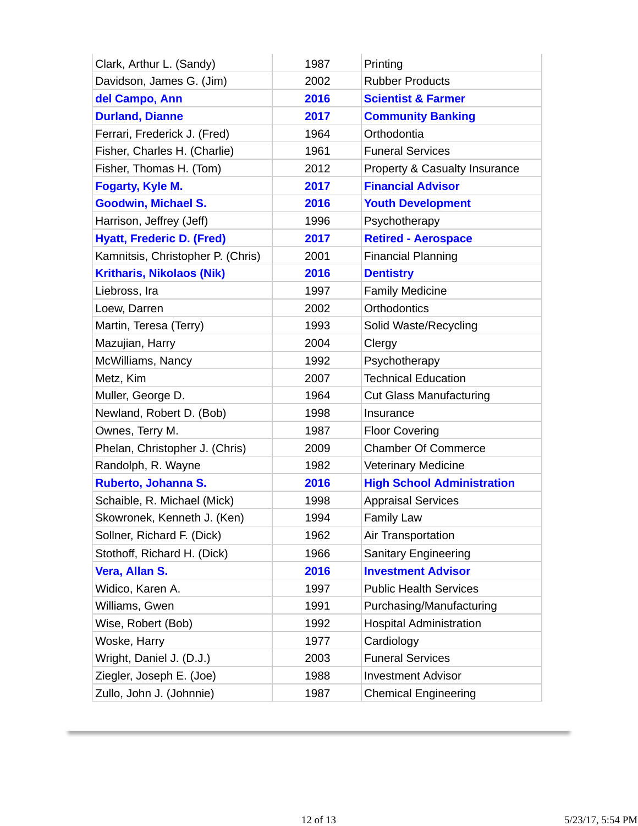| Clark, Arthur L. (Sandy)          | 1987 | Printing                          |
|-----------------------------------|------|-----------------------------------|
| Davidson, James G. (Jim)          | 2002 | <b>Rubber Products</b>            |
| del Campo, Ann                    | 2016 | <b>Scientist &amp; Farmer</b>     |
| <b>Durland, Dianne</b>            | 2017 | <b>Community Banking</b>          |
| Ferrari, Frederick J. (Fred)      | 1964 | Orthodontia                       |
| Fisher, Charles H. (Charlie)      | 1961 | <b>Funeral Services</b>           |
| Fisher, Thomas H. (Tom)           | 2012 | Property & Casualty Insurance     |
| Fogarty, Kyle M.                  | 2017 | <b>Financial Advisor</b>          |
| <b>Goodwin, Michael S.</b>        | 2016 | <b>Youth Development</b>          |
| Harrison, Jeffrey (Jeff)          | 1996 | Psychotherapy                     |
| <b>Hyatt, Frederic D. (Fred)</b>  | 2017 | <b>Retired - Aerospace</b>        |
| Kamnitsis, Christopher P. (Chris) | 2001 | <b>Financial Planning</b>         |
| <b>Kritharis, Nikolaos (Nik)</b>  | 2016 | <b>Dentistry</b>                  |
| Liebross, Ira                     | 1997 | <b>Family Medicine</b>            |
| Loew, Darren                      | 2002 | Orthodontics                      |
| Martin, Teresa (Terry)            | 1993 | Solid Waste/Recycling             |
| Mazujian, Harry                   | 2004 | Clergy                            |
| McWilliams, Nancy                 | 1992 | Psychotherapy                     |
| Metz, Kim                         | 2007 | <b>Technical Education</b>        |
| Muller, George D.                 | 1964 | <b>Cut Glass Manufacturing</b>    |
| Newland, Robert D. (Bob)          | 1998 | Insurance                         |
| Ownes, Terry M.                   | 1987 | <b>Floor Covering</b>             |
| Phelan, Christopher J. (Chris)    | 2009 | <b>Chamber Of Commerce</b>        |
| Randolph, R. Wayne                | 1982 | <b>Veterinary Medicine</b>        |
| Ruberto, Johanna S.               | 2016 | <b>High School Administration</b> |
| Schaible, R. Michael (Mick)       | 1998 | <b>Appraisal Services</b>         |
| Skowronek, Kenneth J. (Ken)       | 1994 | <b>Family Law</b>                 |
| Sollner, Richard F. (Dick)        | 1962 | Air Transportation                |
| Stothoff, Richard H. (Dick)       | 1966 | <b>Sanitary Engineering</b>       |
| Vera, Allan S.                    | 2016 | <b>Investment Advisor</b>         |
| Widico, Karen A.                  | 1997 | <b>Public Health Services</b>     |
| Williams, Gwen                    | 1991 | Purchasing/Manufacturing          |
| Wise, Robert (Bob)                | 1992 | <b>Hospital Administration</b>    |
| Woske, Harry                      | 1977 | Cardiology                        |
| Wright, Daniel J. (D.J.)          | 2003 | <b>Funeral Services</b>           |
| Ziegler, Joseph E. (Joe)          | 1988 | <b>Investment Advisor</b>         |
| Zullo, John J. (Johnnie)          | 1987 | <b>Chemical Engineering</b>       |